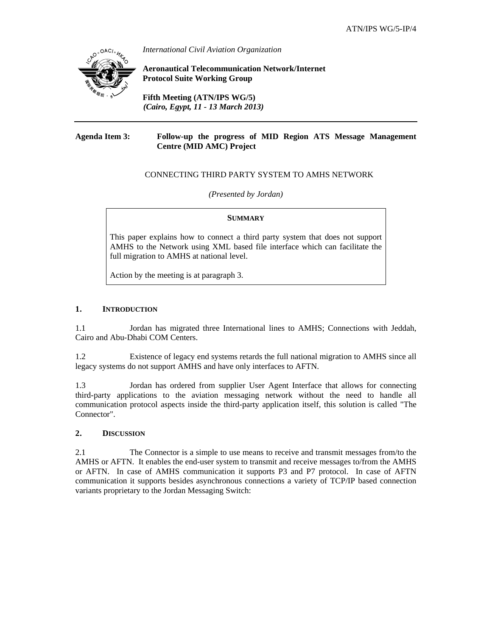

*International Civil Aviation Organization*

**Aeronautical Telecommunication Network/Internet Protocol Suite Working Group** 

**Fifth Meeting (ATN/IPS WG/5)**  *(Cairo, Egypt, 11 - 13 March 2013)*

#### **Agenda Item 3: Follow-up the progress of MID Region ATS Message Management Centre (MID AMC) Project**

# CONNECTING THIRD PARTY SYSTEM TO AMHS NETWORK

*(Presented by Jordan)* 

### **SUMMARY**

This paper explains how to connect a third party system that does not support AMHS to the Network using XML based file interface which can facilitate the full migration to AMHS at national level.

Action by the meeting is at paragraph 3.

### **1. INTRODUCTION**

1.1 Jordan has migrated three International lines to AMHS; Connections with Jeddah, Cairo and Abu-Dhabi COM Centers.

1.2 Existence of legacy end systems retards the full national migration to AMHS since all legacy systems do not support AMHS and have only interfaces to AFTN.

1.3 Jordan has ordered from supplier User Agent Interface that allows for connecting third-party applications to the aviation messaging network without the need to handle all communication protocol aspects inside the third-party application itself, this solution is called "The Connector".

#### **2. DISCUSSION**

2.1 The Connector is a simple to use means to receive and transmit messages from/to the AMHS or AFTN. It enables the end-user system to transmit and receive messages to/from the AMHS or AFTN. In case of AMHS communication it supports P3 and P7 protocol. In case of AFTN communication it supports besides asynchronous connections a variety of TCP/IP based connection variants proprietary to the Jordan Messaging Switch: